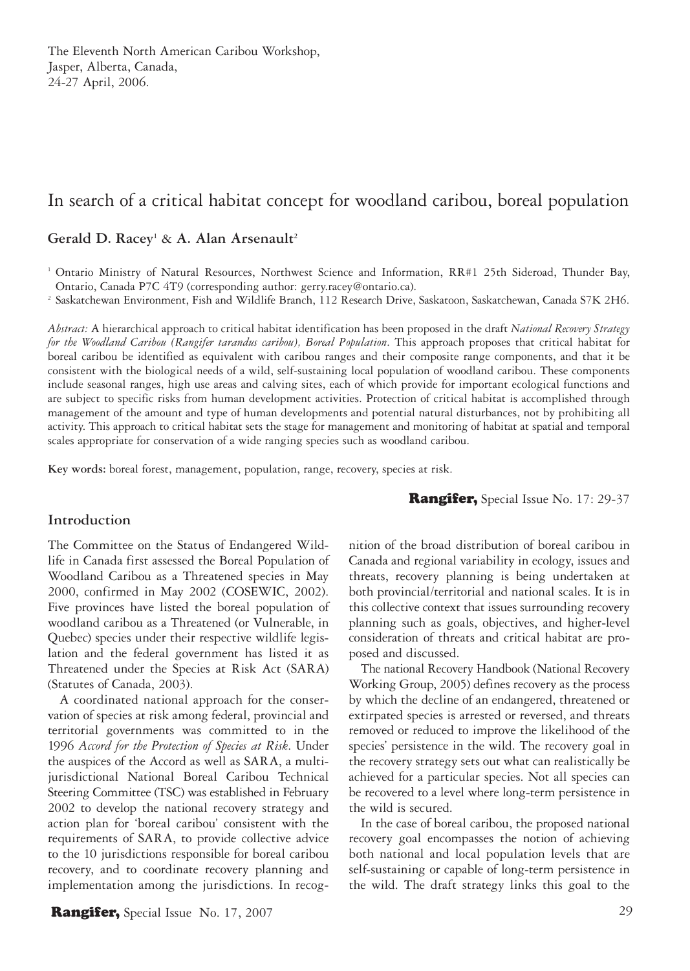# In search of a critical habitat concept for woodland caribou, boreal population

## Gerald D. Racey<sup>1</sup> & A. Alan Arsenault<sup>2</sup>

1 Ontario Ministry of Natural Resources, Northwest Science and Information, RR#1 25th Sideroad, Thunder Bay, Ontario, Canada P7C 4T9 (corresponding author: gerry.racey@ontario.ca).

<sup>2</sup> Saskatchewan Environment, Fish and Wildlife Branch, 112 Research Drive, Saskatoon, Saskatchewan, Canada S7K 2H6.

*Abstract:* A hierarchical approach to critical habitat identification has been proposed in the draft *National Recovery Strategy for the Woodland Caribou (Rangifer tarandus caribou), Boreal Population*. This approach proposes that critical habitat for boreal caribou be identified as equivalent with caribou ranges and their composite range components, and that it be consistent with the biological needs of a wild, self-sustaining local population of woodland caribou. These components include seasonal ranges, high use areas and calving sites, each of which provide for important ecological functions and are subject to specific risks from human development activities. Protection of critical habitat is accomplished through management of the amount and type of human developments and potential natural disturbances, not by prohibiting all activity. This approach to critical habitat sets the stage for management and monitoring of habitat at spatial and temporal scales appropriate for conservation of a wide ranging species such as woodland caribou.

**Key words:** boreal forest, management, population, range, recovery, species at risk.

### Rangifer, Special Issue No. 17: 29-37

#### **Introduction**

The Committee on the Status of Endangered Wildlife in Canada first assessed the Boreal Population of Woodland Caribou as a Threatened species in May 2000, confirmed in May 2002 (COSEWIC, 2002). Five provinces have listed the boreal population of woodland caribou as a Threatened (or Vulnerable, in Quebec) species under their respective wildlife legislation and the federal government has listed it as Threatened under the Species at Risk Act (SARA) (Statutes of Canada, 2003).

A coordinated national approach for the conservation of species at risk among federal, provincial and territorial governments was committed to in the 1996 *Accord for the Protection of Species at Risk*. Under the auspices of the Accord as well as SARA, a multijurisdictional National Boreal Caribou Technical Steering Committee (TSC) was established in February 2002 to develop the national recovery strategy and action plan for 'boreal caribou' consistent with the requirements of SARA, to provide collective advice to the 10 jurisdictions responsible for boreal caribou recovery, and to coordinate recovery planning and implementation among the jurisdictions. In recognition of the broad distribution of boreal caribou in Canada and regional variability in ecology, issues and threats, recovery planning is being undertaken at both provincial/territorial and national scales. It is in this collective context that issues surrounding recovery planning such as goals, objectives, and higher-level consideration of threats and critical habitat are proposed and discussed.

The national Recovery Handbook (National Recovery Working Group, 2005) defines recovery as the process by which the decline of an endangered, threatened or extirpated species is arrested or reversed, and threats removed or reduced to improve the likelihood of the species' persistence in the wild. The recovery goal in the recovery strategy sets out what can realistically be achieved for a particular species. Not all species can be recovered to a level where long-term persistence in the wild is secured.

In the case of boreal caribou, the proposed national recovery goal encompasses the notion of achieving both national and local population levels that are self-sustaining or capable of long-term persistence in the wild. The draft strategy links this goal to the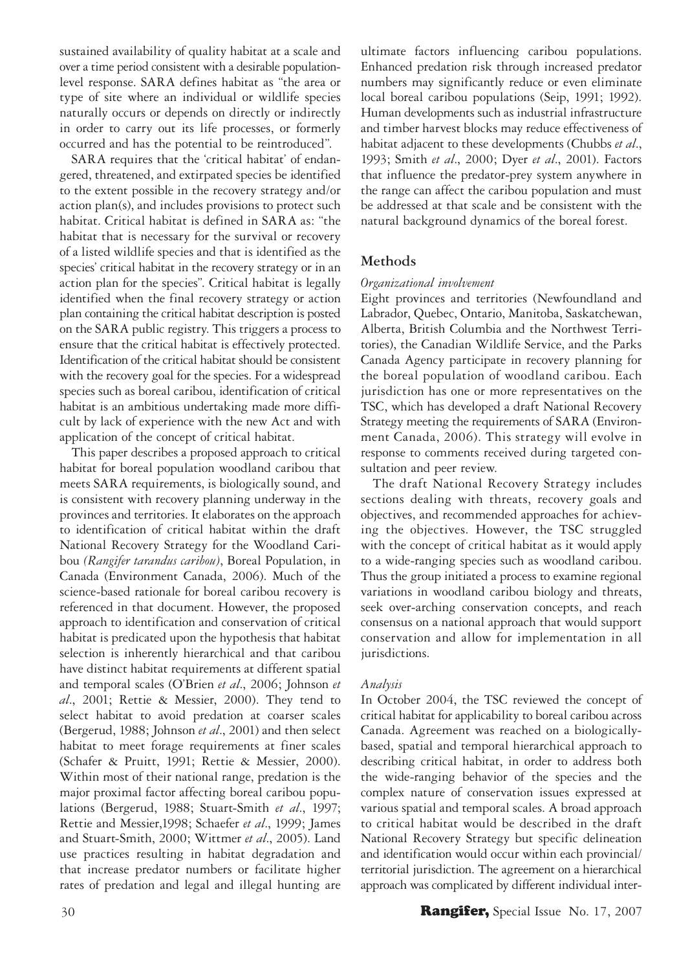sustained availability of quality habitat at a scale and over a time period consistent with a desirable populationlevel response. SARA defines habitat as "the area or type of site where an individual or wildlife species naturally occurs or depends on directly or indirectly in order to carry out its life processes, or formerly occurred and has the potential to be reintroduced".

SARA requires that the 'critical habitat' of endangered, threatened, and extirpated species be identified to the extent possible in the recovery strategy and/or action plan(s), and includes provisions to protect such habitat. Critical habitat is defined in SARA as: "the habitat that is necessary for the survival or recovery of a listed wildlife species and that is identified as the species' critical habitat in the recovery strategy or in an action plan for the species". Critical habitat is legally identified when the final recovery strategy or action plan containing the critical habitat description is posted on the SARA public registry. This triggers a process to ensure that the critical habitat is effectively protected. Identification of the critical habitat should be consistent with the recovery goal for the species. For a widespread species such as boreal caribou, identification of critical habitat is an ambitious undertaking made more difficult by lack of experience with the new Act and with application of the concept of critical habitat.

This paper describes a proposed approach to critical habitat for boreal population woodland caribou that meets SARA requirements, is biologically sound, and is consistent with recovery planning underway in the provinces and territories. It elaborates on the approach to identification of critical habitat within the draft National Recovery Strategy for the Woodland Caribou *(Rangifer tarandus caribou)*, Boreal Population, in Canada (Environment Canada, 2006). Much of the science-based rationale for boreal caribou recovery is referenced in that document. However, the proposed approach to identification and conservation of critical habitat is predicated upon the hypothesis that habitat selection is inherently hierarchical and that caribou have distinct habitat requirements at different spatial and temporal scales (O'Brien *et al*., 2006; Johnson *et al*., 2001; Rettie & Messier, 2000). They tend to select habitat to avoid predation at coarser scales (Bergerud, 1988; Johnson *et al*., 2001) and then select habitat to meet forage requirements at finer scales (Schafer & Pruitt, 1991; Rettie & Messier, 2000). Within most of their national range, predation is the major proximal factor affecting boreal caribou populations (Bergerud, 1988; Stuart-Smith *et al*., 1997; Rettie and Messier,1998; Schaefer *et al*., 1999; James and Stuart-Smith, 2000; Wittmer *et al*., 2005). Land use practices resulting in habitat degradation and that increase predator numbers or facilitate higher rates of predation and legal and illegal hunting are

ultimate factors influencing caribou populations. Enhanced predation risk through increased predator numbers may significantly reduce or even eliminate local boreal caribou populations (Seip, 1991; 1992). Human developments such as industrial infrastructure and timber harvest blocks may reduce effectiveness of habitat adjacent to these developments (Chubbs *et al*., 1993; Smith *et al*., 2000; Dyer *et al*., 2001). Factors that influence the predator-prey system anywhere in the range can affect the caribou population and must be addressed at that scale and be consistent with the natural background dynamics of the boreal forest.

### **Methods**

#### *Organizational involvement*

Eight provinces and territories (Newfoundland and Labrador, Quebec, Ontario, Manitoba, Saskatchewan, Alberta, British Columbia and the Northwest Territories), the Canadian Wildlife Service, and the Parks Canada Agency participate in recovery planning for the boreal population of woodland caribou. Each jurisdiction has one or more representatives on the TSC, which has developed a draft National Recovery Strategy meeting the requirements of SARA (Environment Canada, 2006). This strategy will evolve in response to comments received during targeted consultation and peer review.

The draft National Recovery Strategy includes sections dealing with threats, recovery goals and objectives, and recommended approaches for achieving the objectives. However, the TSC struggled with the concept of critical habitat as it would apply to a wide-ranging species such as woodland caribou. Thus the group initiated a process to examine regional variations in woodland caribou biology and threats, seek over-arching conservation concepts, and reach consensus on a national approach that would support conservation and allow for implementation in all jurisdictions.

#### *Analysis*

In October 2004, the TSC reviewed the concept of critical habitat for applicability to boreal caribou across Canada. Agreement was reached on a biologicallybased, spatial and temporal hierarchical approach to describing critical habitat, in order to address both the wide-ranging behavior of the species and the complex nature of conservation issues expressed at various spatial and temporal scales. A broad approach to critical habitat would be described in the draft National Recovery Strategy but specific delineation and identification would occur within each provincial/ territorial jurisdiction. The agreement on a hierarchical approach was complicated by different individual inter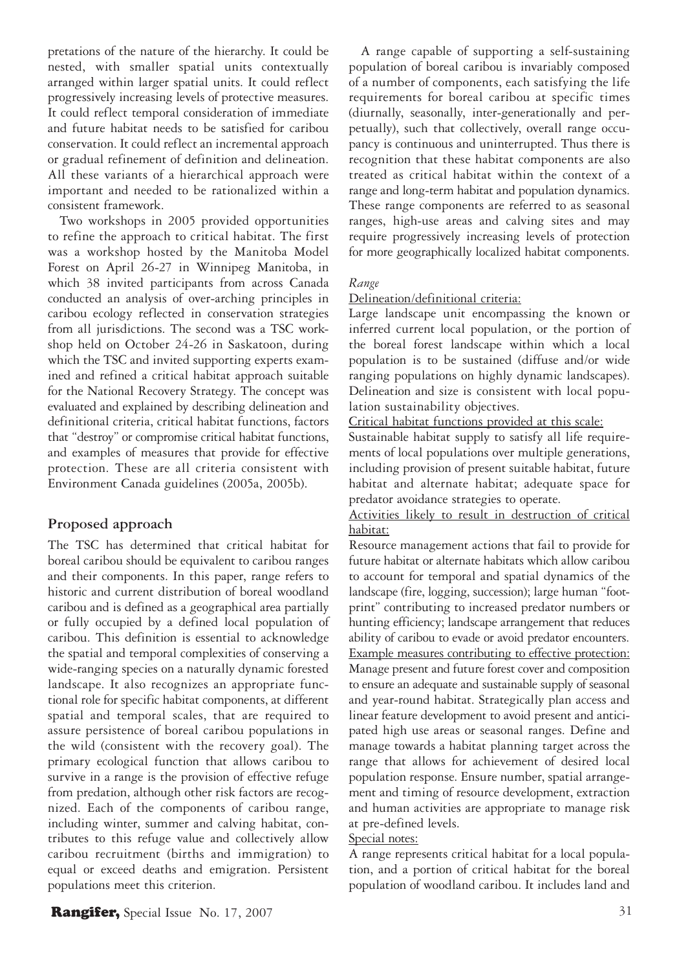pretations of the nature of the hierarchy. It could be nested, with smaller spatial units contextually arranged within larger spatial units. It could reflect progressively increasing levels of protective measures. It could reflect temporal consideration of immediate and future habitat needs to be satisfied for caribou conservation. It could reflect an incremental approach or gradual refinement of definition and delineation. All these variants of a hierarchical approach were important and needed to be rationalized within a consistent framework.

Two workshops in 2005 provided opportunities to refine the approach to critical habitat. The first was a workshop hosted by the Manitoba Model Forest on April 26-27 in Winnipeg Manitoba, in which 38 invited participants from across Canada conducted an analysis of over-arching principles in caribou ecology reflected in conservation strategies from all jurisdictions. The second was a TSC workshop held on October 24-26 in Saskatoon, during which the TSC and invited supporting experts examined and refined a critical habitat approach suitable for the National Recovery Strategy. The concept was evaluated and explained by describing delineation and definitional criteria, critical habitat functions, factors that "destroy" or compromise critical habitat functions, and examples of measures that provide for effective protection. These are all criteria consistent with Environment Canada guidelines (2005a, 2005b).

#### **Proposed approach**

The TSC has determined that critical habitat for boreal caribou should be equivalent to caribou ranges and their components. In this paper, range refers to historic and current distribution of boreal woodland caribou and is defined as a geographical area partially or fully occupied by a defined local population of caribou. This definition is essential to acknowledge the spatial and temporal complexities of conserving a wide-ranging species on a naturally dynamic forested landscape. It also recognizes an appropriate functional role for specific habitat components, at different spatial and temporal scales, that are required to assure persistence of boreal caribou populations in the wild (consistent with the recovery goal). The primary ecological function that allows caribou to survive in a range is the provision of effective refuge from predation, although other risk factors are recognized. Each of the components of caribou range, including winter, summer and calving habitat, contributes to this refuge value and collectively allow caribou recruitment (births and immigration) to equal or exceed deaths and emigration. Persistent populations meet this criterion.

A range capable of supporting a self-sustaining population of boreal caribou is invariably composed of a number of components, each satisfying the life requirements for boreal caribou at specific times (diurnally, seasonally, inter-generationally and perpetually), such that collectively, overall range occupancy is continuous and uninterrupted. Thus there is recognition that these habitat components are also treated as critical habitat within the context of a range and long-term habitat and population dynamics. These range components are referred to as seasonal ranges, high-use areas and calving sites and may require progressively increasing levels of protection for more geographically localized habitat components.

#### *Range*

#### Delineation/definitional criteria:

Large landscape unit encompassing the known or inferred current local population, or the portion of the boreal forest landscape within which a local population is to be sustained (diffuse and/or wide ranging populations on highly dynamic landscapes). Delineation and size is consistent with local population sustainability objectives.

Critical habitat functions provided at this scale:

Sustainable habitat supply to satisfy all life requirements of local populations over multiple generations, including provision of present suitable habitat, future habitat and alternate habitat; adequate space for predator avoidance strategies to operate.

Activities likely to result in destruction of critical habitat:

Resource management actions that fail to provide for future habitat or alternate habitats which allow caribou to account for temporal and spatial dynamics of the landscape (fire, logging, succession); large human "footprint" contributing to increased predator numbers or hunting efficiency; landscape arrangement that reduces ability of caribou to evade or avoid predator encounters. Example measures contributing to effective protection: Manage present and future forest cover and composition to ensure an adequate and sustainable supply of seasonal and year-round habitat. Strategically plan access and linear feature development to avoid present and anticipated high use areas or seasonal ranges. Define and manage towards a habitat planning target across the range that allows for achievement of desired local population response. Ensure number, spatial arrangement and timing of resource development, extraction and human activities are appropriate to manage risk at pre-defined levels.

### Special notes:

A range represents critical habitat for a local population, and a portion of critical habitat for the boreal population of woodland caribou. It includes land and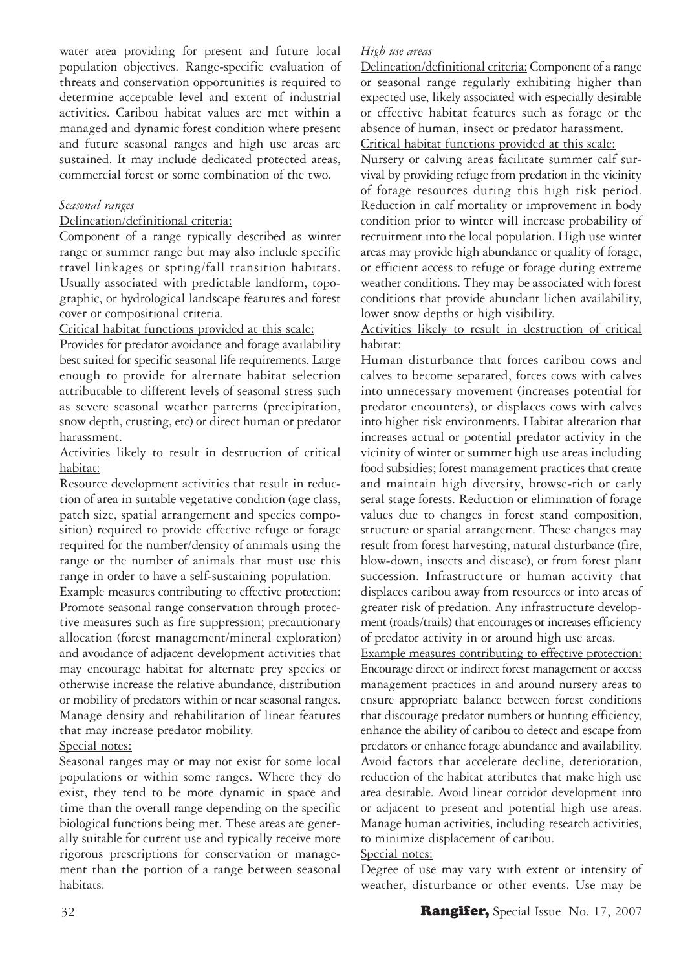water area providing for present and future local population objectives. Range-specific evaluation of threats and conservation opportunities is required to determine acceptable level and extent of industrial activities. Caribou habitat values are met within a managed and dynamic forest condition where present and future seasonal ranges and high use areas are sustained. It may include dedicated protected areas, commercial forest or some combination of the two.

### *Seasonal ranges*

#### Delineation/definitional criteria:

Component of a range typically described as winter range or summer range but may also include specific travel linkages or spring/fall transition habitats. Usually associated with predictable landform, topographic, or hydrological landscape features and forest cover or compositional criteria.

Critical habitat functions provided at this scale:

Provides for predator avoidance and forage availability best suited for specific seasonal life requirements. Large enough to provide for alternate habitat selection attributable to different levels of seasonal stress such as severe seasonal weather patterns (precipitation, snow depth, crusting, etc) or direct human or predator harassment.

### Activities likely to result in destruction of critical habitat:

Resource development activities that result in reduction of area in suitable vegetative condition (age class, patch size, spatial arrangement and species composition) required to provide effective refuge or forage required for the number/density of animals using the range or the number of animals that must use this range in order to have a self-sustaining population.

Example measures contributing to effective protection: Promote seasonal range conservation through protective measures such as fire suppression; precautionary allocation (forest management/mineral exploration) and avoidance of adjacent development activities that may encourage habitat for alternate prey species or otherwise increase the relative abundance, distribution or mobility of predators within or near seasonal ranges. Manage density and rehabilitation of linear features that may increase predator mobility.

### Special notes:

Seasonal ranges may or may not exist for some local populations or within some ranges. Where they do exist, they tend to be more dynamic in space and time than the overall range depending on the specific biological functions being met. These areas are generally suitable for current use and typically receive more rigorous prescriptions for conservation or management than the portion of a range between seasonal habitats.

### *High use areas*

Delineation/definitional criteria: Component of a range or seasonal range regularly exhibiting higher than expected use, likely associated with especially desirable or effective habitat features such as forage or the absence of human, insect or predator harassment. Critical habitat functions provided at this scale:

Nursery or calving areas facilitate summer calf survival by providing refuge from predation in the vicinity of forage resources during this high risk period. Reduction in calf mortality or improvement in body condition prior to winter will increase probability of recruitment into the local population. High use winter areas may provide high abundance or quality of forage, or efficient access to refuge or forage during extreme weather conditions. They may be associated with forest conditions that provide abundant lichen availability, lower snow depths or high visibility.

### Activities likely to result in destruction of critical habitat:

Human disturbance that forces caribou cows and calves to become separated, forces cows with calves into unnecessary movement (increases potential for predator encounters), or displaces cows with calves into higher risk environments. Habitat alteration that increases actual or potential predator activity in the vicinity of winter or summer high use areas including food subsidies; forest management practices that create and maintain high diversity, browse-rich or early seral stage forests. Reduction or elimination of forage values due to changes in forest stand composition, structure or spatial arrangement. These changes may result from forest harvesting, natural disturbance (fire, blow-down, insects and disease), or from forest plant succession. Infrastructure or human activity that displaces caribou away from resources or into areas of greater risk of predation. Any infrastructure development (roads/trails) that encourages or increases efficiency of predator activity in or around high use areas.

Example measures contributing to effective protection: Encourage direct or indirect forest management or access management practices in and around nursery areas to ensure appropriate balance between forest conditions that discourage predator numbers or hunting efficiency, enhance the ability of caribou to detect and escape from predators or enhance forage abundance and availability. Avoid factors that accelerate decline, deterioration, reduction of the habitat attributes that make high use area desirable. Avoid linear corridor development into or adjacent to present and potential high use areas. Manage human activities, including research activities, to minimize displacement of caribou.

### Special notes:

Degree of use may vary with extent or intensity of weather, disturbance or other events. Use may be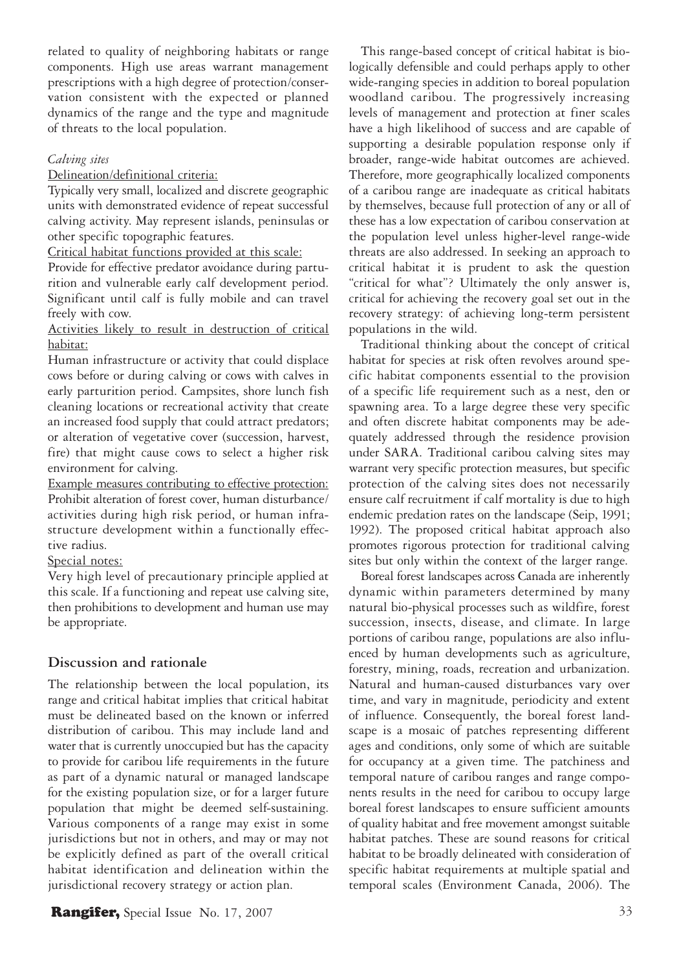related to quality of neighboring habitats or range components. High use areas warrant management prescriptions with a high degree of protection/conservation consistent with the expected or planned dynamics of the range and the type and magnitude of threats to the local population.

#### *Calving sites*

Delineation/definitional criteria:

Typically very small, localized and discrete geographic units with demonstrated evidence of repeat successful calving activity. May represent islands, peninsulas or other specific topographic features.

Critical habitat functions provided at this scale:

Provide for effective predator avoidance during parturition and vulnerable early calf development period. Significant until calf is fully mobile and can travel freely with cow.

Activities likely to result in destruction of critical habitat:

Human infrastructure or activity that could displace cows before or during calving or cows with calves in early parturition period. Campsites, shore lunch fish cleaning locations or recreational activity that create an increased food supply that could attract predators; or alteration of vegetative cover (succession, harvest, fire) that might cause cows to select a higher risk environment for calving.

Example measures contributing to effective protection: Prohibit alteration of forest cover, human disturbance/ activities during high risk period, or human infrastructure development within a functionally effective radius.

Special notes:

Very high level of precautionary principle applied at this scale. If a functioning and repeat use calving site, then prohibitions to development and human use may be appropriate.

### **Discussion and rationale**

The relationship between the local population, its range and critical habitat implies that critical habitat must be delineated based on the known or inferred distribution of caribou. This may include land and water that is currently unoccupied but has the capacity to provide for caribou life requirements in the future as part of a dynamic natural or managed landscape for the existing population size, or for a larger future population that might be deemed self-sustaining. Various components of a range may exist in some jurisdictions but not in others, and may or may not be explicitly defined as part of the overall critical habitat identification and delineation within the jurisdictional recovery strategy or action plan.

**Rangifer,** Special Issue No. 17, 2007 33

This range-based concept of critical habitat is biologically defensible and could perhaps apply to other wide-ranging species in addition to boreal population woodland caribou. The progressively increasing levels of management and protection at finer scales have a high likelihood of success and are capable of supporting a desirable population response only if broader, range-wide habitat outcomes are achieved. Therefore, more geographically localized components of a caribou range are inadequate as critical habitats by themselves, because full protection of any or all of these has a low expectation of caribou conservation at the population level unless higher-level range-wide threats are also addressed. In seeking an approach to critical habitat it is prudent to ask the question "critical for what"? Ultimately the only answer is, critical for achieving the recovery goal set out in the recovery strategy: of achieving long-term persistent populations in the wild.

Traditional thinking about the concept of critical habitat for species at risk often revolves around specific habitat components essential to the provision of a specific life requirement such as a nest, den or spawning area. To a large degree these very specific and often discrete habitat components may be adequately addressed through the residence provision under SARA. Traditional caribou calving sites may warrant very specific protection measures, but specific protection of the calving sites does not necessarily ensure calf recruitment if calf mortality is due to high endemic predation rates on the landscape (Seip, 1991; 1992). The proposed critical habitat approach also promotes rigorous protection for traditional calving sites but only within the context of the larger range.

Boreal forest landscapes across Canada are inherently dynamic within parameters determined by many natural bio-physical processes such as wildfire, forest succession, insects, disease, and climate. In large portions of caribou range, populations are also influenced by human developments such as agriculture, forestry, mining, roads, recreation and urbanization. Natural and human-caused disturbances vary over time, and vary in magnitude, periodicity and extent of influence. Consequently, the boreal forest landscape is a mosaic of patches representing different ages and conditions, only some of which are suitable for occupancy at a given time. The patchiness and temporal nature of caribou ranges and range components results in the need for caribou to occupy large boreal forest landscapes to ensure sufficient amounts of quality habitat and free movement amongst suitable habitat patches. These are sound reasons for critical habitat to be broadly delineated with consideration of specific habitat requirements at multiple spatial and temporal scales (Environment Canada, 2006). The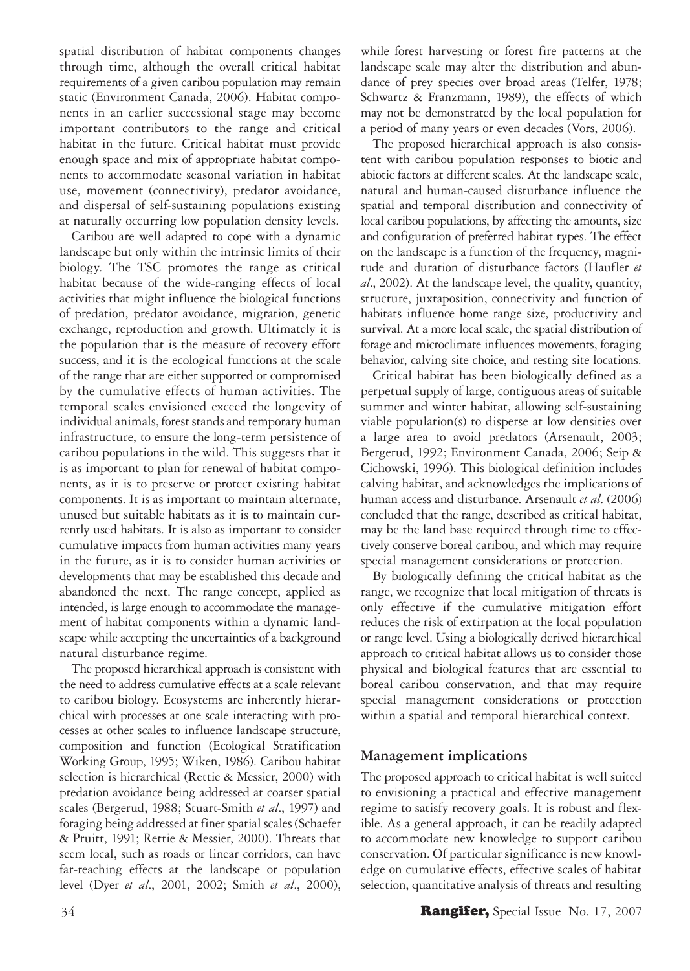spatial distribution of habitat components changes through time, although the overall critical habitat requirements of a given caribou population may remain static (Environment Canada, 2006). Habitat components in an earlier successional stage may become important contributors to the range and critical habitat in the future. Critical habitat must provide enough space and mix of appropriate habitat components to accommodate seasonal variation in habitat use, movement (connectivity), predator avoidance, and dispersal of self-sustaining populations existing at naturally occurring low population density levels.

Caribou are well adapted to cope with a dynamic landscape but only within the intrinsic limits of their biology. The TSC promotes the range as critical habitat because of the wide-ranging effects of local activities that might influence the biological functions of predation, predator avoidance, migration, genetic exchange, reproduction and growth. Ultimately it is the population that is the measure of recovery effort success, and it is the ecological functions at the scale of the range that are either supported or compromised by the cumulative effects of human activities. The temporal scales envisioned exceed the longevity of individual animals, forest stands and temporary human infrastructure, to ensure the long-term persistence of caribou populations in the wild. This suggests that it is as important to plan for renewal of habitat components, as it is to preserve or protect existing habitat components. It is as important to maintain alternate, unused but suitable habitats as it is to maintain currently used habitats. It is also as important to consider cumulative impacts from human activities many years in the future, as it is to consider human activities or developments that may be established this decade and abandoned the next. The range concept, applied as intended, is large enough to accommodate the management of habitat components within a dynamic landscape while accepting the uncertainties of a background natural disturbance regime.

The proposed hierarchical approach is consistent with the need to address cumulative effects at a scale relevant to caribou biology. Ecosystems are inherently hierarchical with processes at one scale interacting with processes at other scales to influence landscape structure, composition and function (Ecological Stratification Working Group, 1995; Wiken, 1986). Caribou habitat selection is hierarchical (Rettie & Messier, 2000) with predation avoidance being addressed at coarser spatial scales (Bergerud, 1988; Stuart-Smith *et al*., 1997) and foraging being addressed at finer spatial scales (Schaefer & Pruitt, 1991; Rettie & Messier, 2000). Threats that seem local, such as roads or linear corridors, can have far-reaching effects at the landscape or population level (Dyer *et al*., 2001, 2002; Smith *et al*., 2000),

while forest harvesting or forest fire patterns at the landscape scale may alter the distribution and abundance of prey species over broad areas (Telfer, 1978; Schwartz & Franzmann, 1989), the effects of which may not be demonstrated by the local population for a period of many years or even decades (Vors, 2006).

The proposed hierarchical approach is also consistent with caribou population responses to biotic and abiotic factors at different scales. At the landscape scale, natural and human-caused disturbance influence the spatial and temporal distribution and connectivity of local caribou populations, by affecting the amounts, size and configuration of preferred habitat types. The effect on the landscape is a function of the frequency, magnitude and duration of disturbance factors (Haufler *et al*., 2002). At the landscape level, the quality, quantity, structure, juxtaposition, connectivity and function of habitats influence home range size, productivity and survival. At a more local scale, the spatial distribution of forage and microclimate influences movements, foraging behavior, calving site choice, and resting site locations.

Critical habitat has been biologically defined as a perpetual supply of large, contiguous areas of suitable summer and winter habitat, allowing self-sustaining viable population(s) to disperse at low densities over a large area to avoid predators (Arsenault, 2003; Bergerud, 1992; Environment Canada, 2006; Seip & Cichowski, 1996). This biological definition includes calving habitat, and acknowledges the implications of human access and disturbance. Arsenault *et al*. (2006) concluded that the range, described as critical habitat, may be the land base required through time to effectively conserve boreal caribou, and which may require special management considerations or protection.

By biologically defining the critical habitat as the range, we recognize that local mitigation of threats is only effective if the cumulative mitigation effort reduces the risk of extirpation at the local population or range level. Using a biologically derived hierarchical approach to critical habitat allows us to consider those physical and biological features that are essential to boreal caribou conservation, and that may require special management considerations or protection within a spatial and temporal hierarchical context.

### **Management implications**

The proposed approach to critical habitat is well suited to envisioning a practical and effective management regime to satisfy recovery goals. It is robust and flexible. As a general approach, it can be readily adapted to accommodate new knowledge to support caribou conservation. Of particular significance is new knowledge on cumulative effects, effective scales of habitat selection, quantitative analysis of threats and resulting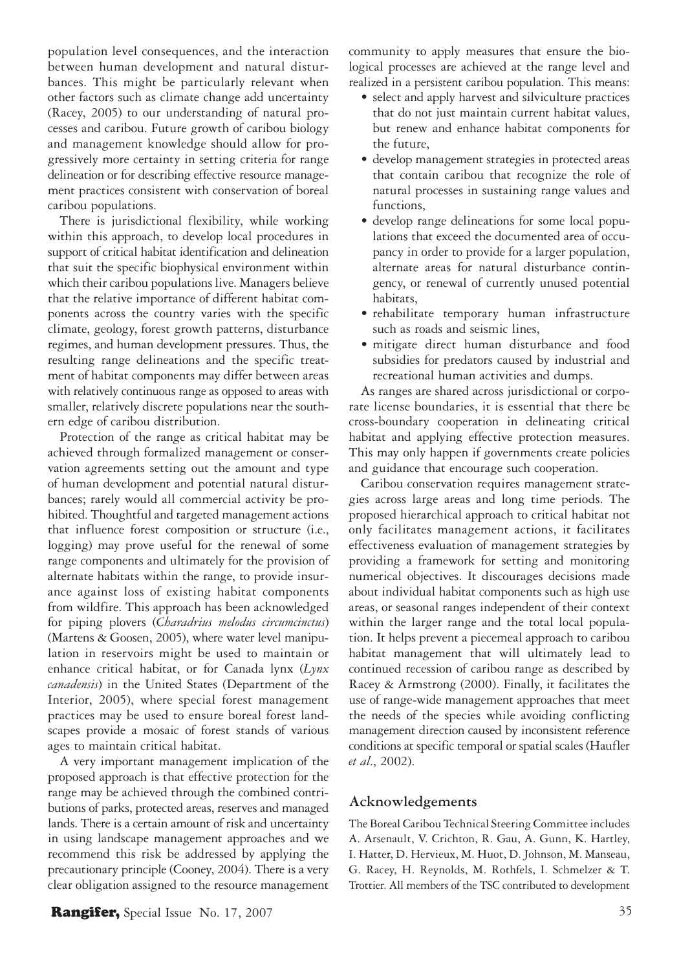population level consequences, and the interaction between human development and natural disturbances. This might be particularly relevant when other factors such as climate change add uncertainty (Racey, 2005) to our understanding of natural processes and caribou. Future growth of caribou biology and management knowledge should allow for progressively more certainty in setting criteria for range delineation or for describing effective resource management practices consistent with conservation of boreal caribou populations.

There is jurisdictional flexibility, while working within this approach, to develop local procedures in support of critical habitat identification and delineation that suit the specific biophysical environment within which their caribou populations live. Managers believe that the relative importance of different habitat components across the country varies with the specific climate, geology, forest growth patterns, disturbance regimes, and human development pressures. Thus, the resulting range delineations and the specific treatment of habitat components may differ between areas with relatively continuous range as opposed to areas with smaller, relatively discrete populations near the southern edge of caribou distribution.

Protection of the range as critical habitat may be achieved through formalized management or conservation agreements setting out the amount and type of human development and potential natural disturbances; rarely would all commercial activity be prohibited. Thoughtful and targeted management actions that influence forest composition or structure (i.e., logging) may prove useful for the renewal of some range components and ultimately for the provision of alternate habitats within the range, to provide insurance against loss of existing habitat components from wildfire. This approach has been acknowledged for piping plovers (*Charadrius melodus circumcinctus*) (Martens & Goosen, 2005), where water level manipulation in reservoirs might be used to maintain or enhance critical habitat, or for Canada lynx (*Lynx canadensis*) in the United States (Department of the Interior, 2005), where special forest management practices may be used to ensure boreal forest landscapes provide a mosaic of forest stands of various ages to maintain critical habitat.

A very important management implication of the proposed approach is that effective protection for the range may be achieved through the combined contributions of parks, protected areas, reserves and managed lands. There is a certain amount of risk and uncertainty in using landscape management approaches and we recommend this risk be addressed by applying the precautionary principle (Cooney, 2004). There is a very clear obligation assigned to the resource management community to apply measures that ensure the biological processes are achieved at the range level and realized in a persistent caribou population. This means:

- select and apply harvest and silviculture practices that do not just maintain current habitat values, but renew and enhance habitat components for the future,
- develop management strategies in protected areas that contain caribou that recognize the role of natural processes in sustaining range values and functions,
- develop range delineations for some local populations that exceed the documented area of occupancy in order to provide for a larger population, alternate areas for natural disturbance contingency, or renewal of currently unused potential habitats,
- rehabilitate temporary human infrastructure such as roads and seismic lines,
- mitigate direct human disturbance and food subsidies for predators caused by industrial and recreational human activities and dumps.

As ranges are shared across jurisdictional or corporate license boundaries, it is essential that there be cross-boundary cooperation in delineating critical habitat and applying effective protection measures. This may only happen if governments create policies and guidance that encourage such cooperation.

Caribou conservation requires management strategies across large areas and long time periods. The proposed hierarchical approach to critical habitat not only facilitates management actions, it facilitates effectiveness evaluation of management strategies by providing a framework for setting and monitoring numerical objectives. It discourages decisions made about individual habitat components such as high use areas, or seasonal ranges independent of their context within the larger range and the total local population. It helps prevent a piecemeal approach to caribou habitat management that will ultimately lead to continued recession of caribou range as described by Racey & Armstrong (2000). Finally, it facilitates the use of range-wide management approaches that meet the needs of the species while avoiding conflicting management direction caused by inconsistent reference conditions at specific temporal or spatial scales (Haufler *et al*., 2002).

### **Acknowledgements**

The Boreal Caribou Technical Steering Committee includes A. Arsenault, V. Crichton, R. Gau, A. Gunn, K. Hartley, I. Hatter, D. Hervieux, M. Huot, D. Johnson, M. Manseau, G. Racey, H. Reynolds, M. Rothfels, I. Schmelzer & T. Trottier. All members of the TSC contributed to development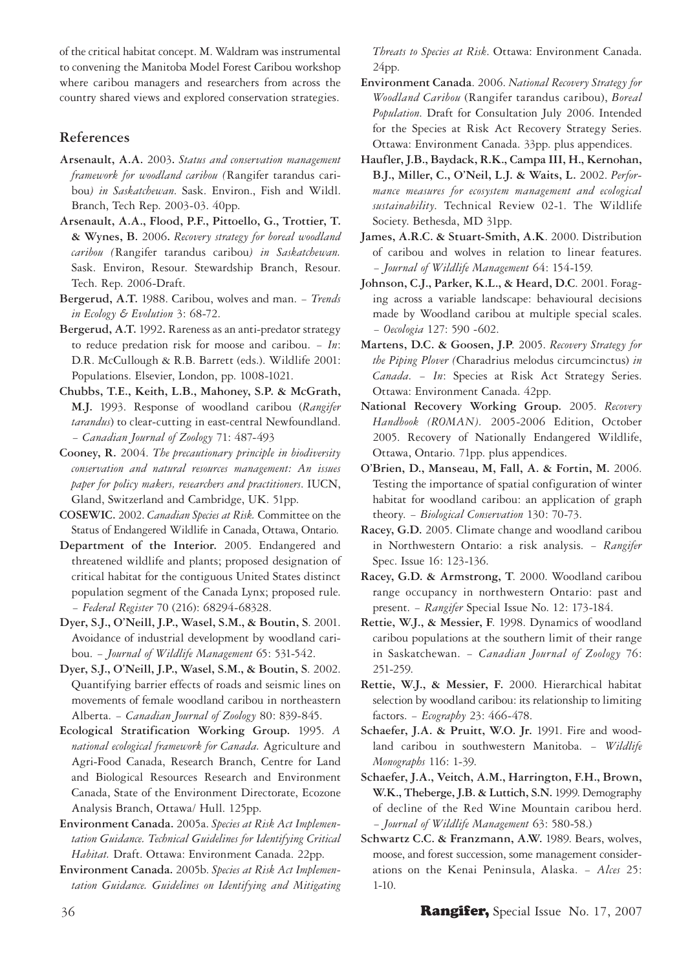of the critical habitat concept. M. Waldram was instrumental to convening the Manitoba Model Forest Caribou workshop where caribou managers and researchers from across the country shared views and explored conservation strategies.

### **References**

- **Arsenault, A.A.** 2003**.** *Status and conservation management framework for woodland caribou (*Rangifer tarandus caribou*) in Saskatchewan*. Sask. Environ., Fish and Wildl. Branch, Tech Rep. 2003-03. 40pp.
- **Arsenault, A.A., Flood, P.F., Pittoello, G., Trottier, T. & Wynes, B.** 2006**.** *Recovery strategy for boreal woodland caribou (*Rangifer tarandus caribou*) in Saskatchewan.* Sask. Environ, Resour. Stewardship Branch, Resour. Tech. Rep. 2006-Draft.
- **Bergerud, A.T.** 1988. Caribou, wolves and man. − *Trends in Ecology & Evolution* 3: 68-72.
- **Bergerud, A.T.** 1992**.** Rareness as an anti-predator strategy to reduce predation risk for moose and caribou. − *In*: D.R. McCullough & R.B. Barrett (eds.). Wildlife 2001: Populations. Elsevier, London, pp. 1008-1021.
- **Chubbs, T.E., Keith, L.B., Mahoney, S.P. & McGrath, M.J.** 1993. Response of woodland caribou (*Rangifer tarandus*) to clear-cutting in east-central Newfoundland. − *Canadian Journal of Zoology* 71: 487-493
- **Cooney, R.** 2004. *The precautionary principle in biodiversity conservation and natural resources management: An issues paper for policy makers, researchers and practitioners*. IUCN, Gland, Switzerland and Cambridge, UK. 51pp.
- **COSEWIC.** 2002. *Canadian Species at Risk.* Committee on the Status of Endangered Wildlife in Canada, Ottawa, Ontario.
- **Department of the Interior.** 2005. Endangered and threatened wildlife and plants; proposed designation of critical habitat for the contiguous United States distinct population segment of the Canada Lynx; proposed rule. − *Federal Register* 70 (216): 68294-68328.
- **Dyer, S.J., O'Neill, J.P., Wasel, S.M., & Boutin, S**. 2001. Avoidance of industrial development by woodland caribou. − *Journal of Wildlife Management* 65: 531-542.
- **Dyer, S.J., O'Neill, J.P., Wasel, S.M., & Boutin, S**. 2002. Quantifying barrier effects of roads and seismic lines on movements of female woodland caribou in northeastern Alberta. − *Canadian Journal of Zoology* 80: 839-845.
- **Ecological Stratification Working Group.** 1995. *A national ecological framework for Canada.* Agriculture and Agri-Food Canada, Research Branch, Centre for Land and Biological Resources Research and Environment Canada, State of the Environment Directorate, Ecozone Analysis Branch, Ottawa/ Hull. 125pp.
- **Environment Canada.** 2005a. *Species at Risk Act Implementation Guidance. Technical Guidelines for Identifying Critical Habitat.* Draft. Ottawa: Environment Canada. 22pp.
- **Environment Canada.** 2005b. *Species at Risk Act Implementation Guidance. Guidelines on Identifying and Mitigating*

*Threats to Species at Risk*. Ottawa: Environment Canada. 24pp.

- **Environment Canada**. 2006. *National Recovery Strategy for Woodland Caribou* (Rangifer tarandus caribou), *Boreal Population*. Draft for Consultation July 2006. Intended for the Species at Risk Act Recovery Strategy Series. Ottawa: Environment Canada. 33pp. plus appendices.
- **Haufler, J.B., Baydack, R.K., Campa III, H., Kernohan, B.J., Miller, C., O'Neil, L.J. & Waits, L.** 2002. *Performance measures for ecosystem management and ecological sustainability*. Technical Review 02-1. The Wildlife Society. Bethesda, MD 31pp.
- **James, A.R.C. & Stuart-Smith, A.K**. 2000. Distribution of caribou and wolves in relation to linear features. − *Journal of Wildlife Management* 64: 154-159.
- **Johnson, C.J., Parker, K.L., & Heard, D.C**. 2001. Foraging across a variable landscape: behavioural decisions made by Woodland caribou at multiple special scales. − *Oecologia* 127: 590 -602.
- **Martens, D.C. & Goosen, J.P**. 2005. *Recovery Strategy for the Piping Plover (*Charadrius melodus circumcinctus) *in Canada*. − *In*: Species at Risk Act Strategy Series. Ottawa: Environment Canada. 42pp.
- **National Recovery Working Group.** 2005. *Recovery Handbook (ROMAN).* 2005-2006 Edition, October 2005. Recovery of Nationally Endangered Wildlife, Ottawa, Ontario. 71pp. plus appendices.
- **O'Brien, D., Manseau, M, Fall, A. & Fortin, M.** 2006. Testing the importance of spatial configuration of winter habitat for woodland caribou: an application of graph theory. − *Biological Conservation* 130: 70-73.
- **Racey, G.D.** 2005. Climate change and woodland caribou in Northwestern Ontario: a risk analysis. − *Rangifer* Spec. Issue 16: 123-136.
- **Racey, G.D. & Armstrong, T**. 2000. Woodland caribou range occupancy in northwestern Ontario: past and present. − *Rangifer* Special Issue No. 12: 173-184.
- **Rettie, W.J., & Messier, F**. 1998. Dynamics of woodland caribou populations at the southern limit of their range in Saskatchewan. − *Canadian Journal of Zoology* 76: 251-259.
- **Rettie, W.J., & Messier, F.** 2000. Hierarchical habitat selection by woodland caribou: its relationship to limiting factors. − *Ecography* 23: 466-478.
- **Schaefer, J.A. & Pruitt, W.O. Jr.** 1991. Fire and woodland caribou in southwestern Manitoba. − *Wildlife Monographs* 116: 1-39.
- **Schaefer, J.A., Veitch, A.M., Harrington, F.H., Brown, W.K., Theberge, J.B. & Luttich, S.N.** 1999. Demography of decline of the Red Wine Mountain caribou herd. − *Journal of Wildlife Management* 63: 580-58.)
- **Schwartz C.C. & Franzmann, A.W.** 1989. Bears, wolves, moose, and forest succession, some management considerations on the Kenai Peninsula, Alaska. − *Alces* 25: 1-10.